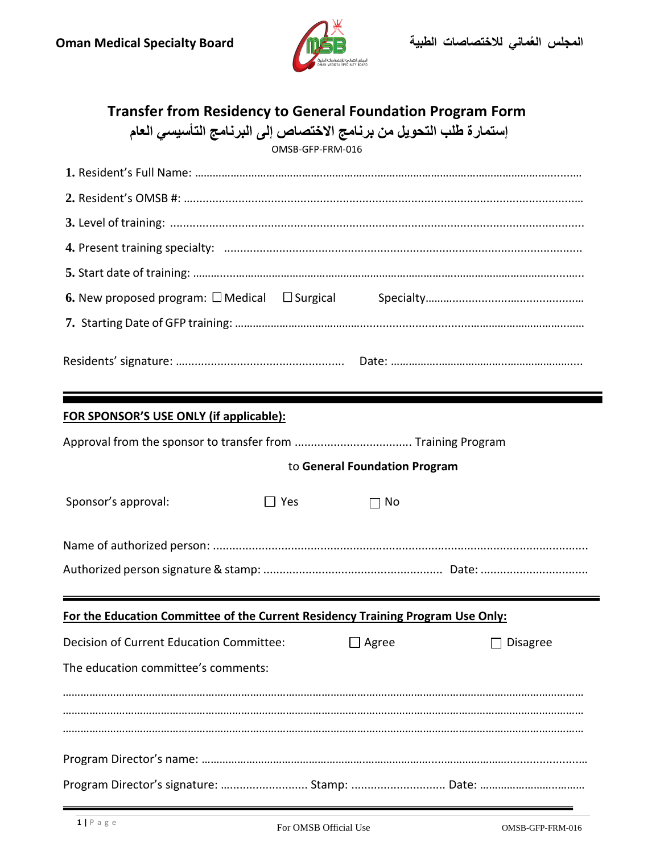

## **Transfer from Residency to General Foundation Program Form**

|  |  |  |  | إستمارة طلب التحويل من برنامج الاختصاص إلى البرنامج التأسيسي العام |  |  |
|--|--|--|--|--------------------------------------------------------------------|--|--|
|--|--|--|--|--------------------------------------------------------------------|--|--|

OMSB-GFP-FRM-016

| FOR SPONSOR'S USE ONLY (if applicable):                                         |                               |  |  |  |  |  |  |  |  |  |  |
|---------------------------------------------------------------------------------|-------------------------------|--|--|--|--|--|--|--|--|--|--|
|                                                                                 |                               |  |  |  |  |  |  |  |  |  |  |
|                                                                                 | to General Foundation Program |  |  |  |  |  |  |  |  |  |  |
| Sponsor's approval:<br>$\Box$ Yes                                               | $\Box$ No                     |  |  |  |  |  |  |  |  |  |  |
|                                                                                 |                               |  |  |  |  |  |  |  |  |  |  |
|                                                                                 |                               |  |  |  |  |  |  |  |  |  |  |
| For the Education Committee of the Current Residency Training Program Use Only: |                               |  |  |  |  |  |  |  |  |  |  |
|                                                                                 |                               |  |  |  |  |  |  |  |  |  |  |
| The education committee's comments:                                             |                               |  |  |  |  |  |  |  |  |  |  |
|                                                                                 |                               |  |  |  |  |  |  |  |  |  |  |
|                                                                                 |                               |  |  |  |  |  |  |  |  |  |  |
|                                                                                 |                               |  |  |  |  |  |  |  |  |  |  |